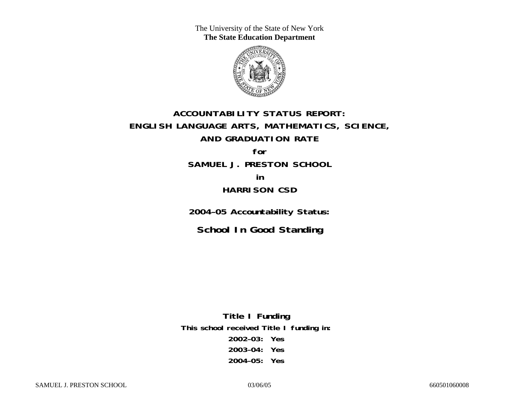The University of the State of New York **The State Education Department** 



# **ACCOUNTABILITY STATUS REPORT: ENGLISH LANGUAGE ARTS, MATHEMATICS, SCIENCE, AND GRADUATION RATE**

**for SAMUEL J. PRESTON SCHOOL** 

**in HARRISON CSD** 

**2004–05 Accountability Status:** 

**School In Good Standing** 

**Title I Funding This school received Title I funding in: 2002–03: Yes 2003–04: Yes 2004–05: Yes**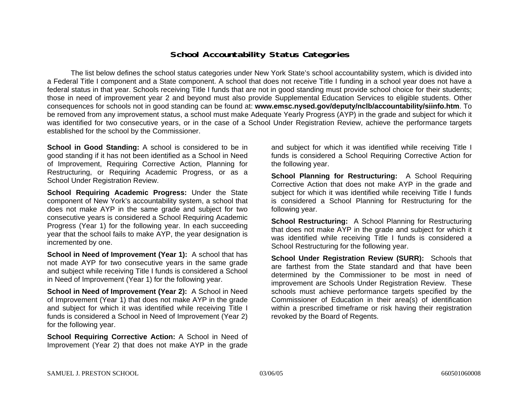### **School Accountability Status Categories**

The list below defines the school status categories under New York State's school accountability system, which is divided into a Federal Title I component and a State component. A school that does not receive Title I funding in a school year does not have a federal status in that year. Schools receiving Title I funds that are not in good standing must provide school choice for their students; those in need of improvement year 2 and beyond must also provide Supplemental Education Services to eligible students. Other consequences for schools not in good standing can be found at: **www.emsc.nysed.gov/deputy/nclb/accountability/siinfo.htm**. To be removed from any improvement status, a school must make Adequate Yearly Progress (AYP) in the grade and subject for which it was identified for two consecutive years, or in the case of a School Under Registration Review, achieve the performance targets established for the school by the Commissioner.

**School in Good Standing:** A school is considered to be in good standing if it has not been identified as a School in Need of Improvement, Requiring Corrective Action, Planning for Restructuring, or Requiring Academic Progress, or as a School Under Registration Review.

**School Requiring Academic Progress:** Under the State component of New York's accountability system, a school that does not make AYP in the same grade and subject for two consecutive years is considered a School Requiring Academic Progress (Year 1) for the following year. In each succeeding year that the school fails to make AYP, the year designation is incremented by one.

**School in Need of Improvement (Year 1):** A school that has not made AYP for two consecutive years in the same grade and subject while receiving Title I funds is considered a School in Need of Improvement (Year 1) for the following year.

**School in Need of Improvement (Year 2):** A School in Need of Improvement (Year 1) that does not make AYP in the grade and subject for which it was identified while receiving Title I funds is considered a School in Need of Improvement (Year 2) for the following year.

**School Requiring Corrective Action:** A School in Need of Improvement (Year 2) that does not make AYP in the grade

and subject for which it was identified while receiving Title I funds is considered a School Requiring Corrective Action for the following year.

**School Planning for Restructuring:** A School Requiring Corrective Action that does not make AYP in the grade and subject for which it was identified while receiving Title I funds is considered a School Planning for Restructuring for the following year.

**School Restructuring:** A School Planning for Restructuring that does not make AYP in the grade and subject for which it was identified while receiving Title I funds is considered a School Restructuring for the following year.

**School Under Registration Review (SURR):** Schools that are farthest from the State standard and that have been determined by the Commissioner to be most in need of improvement are Schools Under Registration Review. These schools must achieve performance targets specified by the Commissioner of Education in their area(s) of identification within a prescribed timeframe or risk having their registration revoked by the Board of Regents.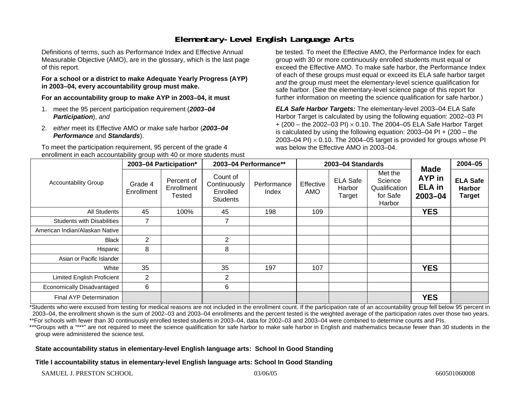# **Elementary-Level English Language Arts**

Definitions of terms, such as Performance Index and Effective Annual Measurable Objective (AMO), are in the glossary, which is the last page of this report.

#### **For a school or a district to make Adequate Yearly Progress (AYP) in 2003–04, every accountability group must make.**

**For an accountability group to make AYP in 2003–04, it must** 

- 1. meet the 95 percent participation requirement (*2003–04 Participation*), *and*
- 2. *either* meet its Effective AMO *or* make safe harbor (*2003–04 Performance* and *Standards*).

To meet the participation requirement, 95 percent of the grade 4 enrollment in each accountability group with 40 or more students must be tested. To meet the Effective AMO, the Performance Index for each group with 30 or more continuously enrolled students must equal or exceed the Effective AMO. To make safe harbor, the Performance Index of each of these groups must equal or exceed its ELA safe harbor target *and* the group must meet the elementary-level science qualification for safe harbor. (See the elementary-level science page of this report for further information on meeting the science qualification for safe harbor.)

*ELA Safe Harbor Targets:* The elementary-level 2003–04 ELA Safe Harbor Target is calculated by using the following equation: 2002–03 PI + (200 – the 2002–03 PI) <sup>×</sup> 0.10. The 2004–05 ELA Safe Harbor Target is calculated by using the following equation: 2003–04 PI + (200 – the 2003–04 PI)  $\times$  0.10. The 2004–05 target is provided for groups whose PI was below the Effective AMO in 2003–04.

| <b>Accountability Group</b>       | 2003-04 Participation* |                                    | 2003-04 Performance**                                   |                      | 2003-04 Standards |                                     |                                                           |                                                       | $2004 - 05$                                       |
|-----------------------------------|------------------------|------------------------------------|---------------------------------------------------------|----------------------|-------------------|-------------------------------------|-----------------------------------------------------------|-------------------------------------------------------|---------------------------------------------------|
|                                   | Grade 4<br>Enrollment  | Percent of<br>Enrollment<br>Tested | Count of<br>Continuously<br>Enrolled<br><b>Students</b> | Performance<br>Index | Effective<br>AMO  | <b>ELA Safe</b><br>Harbor<br>Target | Met the<br>Science<br>Qualification<br>for Safe<br>Harbor | <b>Made</b><br>AYP in<br><b>ELA</b> in<br>$2003 - 04$ | <b>ELA Safe</b><br><b>Harbor</b><br><b>Target</b> |
| All Students                      | 45                     | 100%                               | 45                                                      | 198                  | 109               |                                     |                                                           | <b>YES</b>                                            |                                                   |
| <b>Students with Disabilities</b> | 7                      |                                    | 7                                                       |                      |                   |                                     |                                                           |                                                       |                                                   |
| American Indian/Alaskan Native    |                        |                                    |                                                         |                      |                   |                                     |                                                           |                                                       |                                                   |
| <b>Black</b>                      | $\overline{2}$         |                                    | $\overline{2}$                                          |                      |                   |                                     |                                                           |                                                       |                                                   |
| Hispanic                          | 8                      |                                    | 8                                                       |                      |                   |                                     |                                                           |                                                       |                                                   |
| Asian or Pacific Islander         |                        |                                    |                                                         |                      |                   |                                     |                                                           |                                                       |                                                   |
| White                             | 35                     |                                    | 35                                                      | 197                  | 107               |                                     |                                                           | <b>YES</b>                                            |                                                   |
| Limited English Proficient        | $\overline{2}$         |                                    | 2                                                       |                      |                   |                                     |                                                           |                                                       |                                                   |
| Economically Disadvantaged        | 6                      |                                    | 6                                                       |                      |                   |                                     |                                                           |                                                       |                                                   |
| <b>Final AYP Determination</b>    |                        |                                    |                                                         |                      |                   |                                     |                                                           | <b>YES</b>                                            |                                                   |

\*Students who were excused from testing for medical reasons are not included in the enrollment count. If the participation rate of an accountability group fell below 95 percent in 2003–04, the enrollment shown is the sum of 2002–03 and 2003–04 enrollments and the percent tested is the weighted average of the participation rates over those two years. \*\*For schools with fewer than 30 continuously enrolled tested students in 2003–04, data for 2002–03 and 2003–04 were combined to determine counts and PIs.

\*\*\*Groups with a "\*\*\*" are not required to meet the science qualification for safe harbor to make safe harbor in English and mathematics because fewer than 30 students in the group were administered the science test.

#### **State accountability status in elementary-level English language arts: School In Good Standing**

**Title I accountability status in elementary-level English language arts: School In Good Standing**

SAMUEL J. PRESTON SCHOOL 600501060008 660501060008 660501060008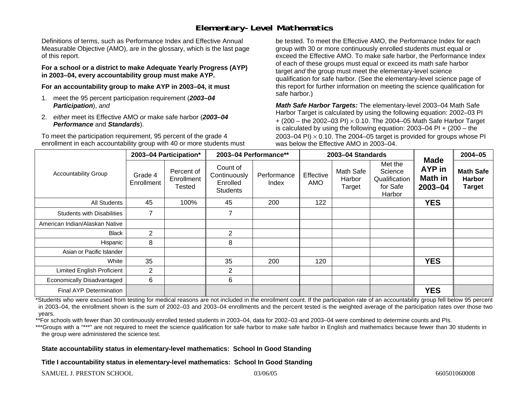## **Elementary-Level Mathematics**

Definitions of terms, such as Performance Index and Effective Annual Measurable Objective (AMO), are in the glossary, which is the last page of this report.

**For a school or a district to make Adequate Yearly Progress (AYP) in 2003–04, every accountability group must make AYP.** 

**For an accountability group to make AYP in 2003–04, it must** 

- 1. meet the 95 percent participation requirement (*2003–04 Participation*), *and*
- 2. *either* meet its Effective AMO *or* make safe harbor (*2003–04 Performance* and *Standards*).

To meet the participation requirement, 95 percent of the grade 4 enrollment in each accountability group with 40 or more students must be tested. To meet the Effective AMO, the Performance Index for each group with 30 or more continuously enrolled students must equal or exceed the Effective AMO. To make safe harbor, the Performance Index of each of these groups must equal or exceed its math safe harbor target *and* the group must meet the elementary-level science qualification for safe harbor. (See the elementary-level science page of this report for further information on meeting the science qualification for safe harbor.)

*Math Safe Harbor Targets:* The elementary-level 2003–04 Math Safe Harbor Target is calculated by using the following equation: 2002–03 PI + (200 – the 2002–03 PI) <sup>×</sup> 0.10. The 2004–05 Math Safe Harbor Target is calculated by using the following equation: 2003–04 PI + (200 – the 2003–04 PI)  $\times$  0.10. The 2004–05 target is provided for groups whose PI was below the Effective AMO in 2003–04.

| <b>Accountability Group</b>       | 2003-04 Participation* |                                           | 2003-04 Performance**                                   |                      | 2003-04 Standards |                               |                                                           |                                                        | 2004-05                                            |
|-----------------------------------|------------------------|-------------------------------------------|---------------------------------------------------------|----------------------|-------------------|-------------------------------|-----------------------------------------------------------|--------------------------------------------------------|----------------------------------------------------|
|                                   | Grade 4<br>Enrollment  | Percent of<br>Enrollment<br><b>Tested</b> | Count of<br>Continuously<br>Enrolled<br><b>Students</b> | Performance<br>Index | Effective<br>AMO  | Math Safe<br>Harbor<br>Target | Met the<br>Science<br>Qualification<br>for Safe<br>Harbor | <b>Made</b><br><b>AYP</b> in<br>Math in<br>$2003 - 04$ | <b>Math Safe</b><br><b>Harbor</b><br><b>Target</b> |
| All Students                      | 45                     | 100%                                      | 45                                                      | 200                  | 122               |                               |                                                           | <b>YES</b>                                             |                                                    |
| <b>Students with Disabilities</b> | 7                      |                                           | 7                                                       |                      |                   |                               |                                                           |                                                        |                                                    |
| American Indian/Alaskan Native    |                        |                                           |                                                         |                      |                   |                               |                                                           |                                                        |                                                    |
| <b>Black</b>                      | $\overline{2}$         |                                           | $\overline{2}$                                          |                      |                   |                               |                                                           |                                                        |                                                    |
| Hispanic                          | 8                      |                                           | 8                                                       |                      |                   |                               |                                                           |                                                        |                                                    |
| Asian or Pacific Islander         |                        |                                           |                                                         |                      |                   |                               |                                                           |                                                        |                                                    |
| White                             | 35                     |                                           | 35                                                      | 200                  | 120               |                               |                                                           | <b>YES</b>                                             |                                                    |
| <b>Limited English Proficient</b> | 2                      |                                           | $\overline{2}$                                          |                      |                   |                               |                                                           |                                                        |                                                    |
| Economically Disadvantaged        | 6                      |                                           | 6                                                       |                      |                   |                               |                                                           |                                                        |                                                    |
| <b>Final AYP Determination</b>    |                        |                                           |                                                         |                      |                   |                               |                                                           | <b>YES</b>                                             |                                                    |

\*Students who were excused from testing for medical reasons are not included in the enrollment count. If the participation rate of an accountability group fell below 95 percent in 2003–04, the enrollment shown is the sum of 2002–03 and 2003–04 enrollments and the percent tested is the weighted average of the participation rates over those two years.

\*\*For schools with fewer than 30 continuously enrolled tested students in 2003–04, data for 2002–03 and 2003–04 were combined to determine counts and PIs.

\*\*\*Groups with a "\*\*\*" are not required to meet the science qualification for safe harbor to make safe harbor in English and mathematics because fewer than 30 students in the group were administered the science test.

**State accountability status in elementary-level mathematics: School In Good Standing** 

**Title I accountability status in elementary-level mathematics: School In Good Standing**

SAMUEL J. PRESTON SCHOOL 600501060008 660501060008 660501060008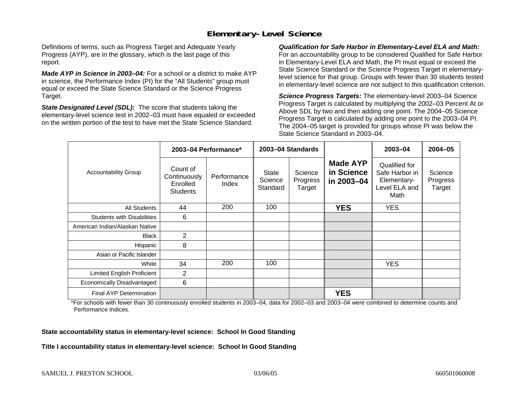## **Elementary-Level Science**

Definitions of terms, such as Progress Target and Adequate Yearly Progress (AYP), are in the glossary, which is the last page of this report.

*Made AYP in Science in 2003–04:* For a school or a district to make AYP in science, the Performance Index (PI) for the "All Students" group must equal or exceed the State Science Standard or the Science Progress Target.

*State Designated Level (SDL):* The score that students taking the elementary-level science test in 2002–03 must have equaled or exceeded on the written portion of the test to have met the State Science Standard.

*Qualification for Safe Harbor in Elementary-Level ELA and Math:* For an accountability group to be considered Qualified for Safe Harbor in Elementary-Level ELA and Math, the PI must equal or exceed the State Science Standard or the Science Progress Target in elementarylevel science for that group. Groups with fewer than 30 students tested in elementary-level science are not subject to this qualification criterion.

*Science Progress Targets:* The elementary-level 2003–04 Science Progress Target is calculated by multiplying the 2002–03 Percent At or Above SDL by two and then adding one point. The 2004–05 Science Progress Target is calculated by adding one point to the 2003–04 PI. The 2004–05 target is provided for groups whose PI was below the State Science Standard in 2003–04.

|                                   |                                                         | 2003-04 Performance* | 2003-04 Standards            |                               |                                             | 2003-04                                                                 | $2004 - 05$                   |
|-----------------------------------|---------------------------------------------------------|----------------------|------------------------------|-------------------------------|---------------------------------------------|-------------------------------------------------------------------------|-------------------------------|
| <b>Accountability Group</b>       | Count of<br>Continuously<br>Enrolled<br><b>Students</b> | Performance<br>Index | State<br>Science<br>Standard | Science<br>Progress<br>Target | <b>Made AYP</b><br>in Science<br>in 2003-04 | Qualified for<br>Safe Harbor in<br>Elementary-<br>Level ELA and<br>Math | Science<br>Progress<br>Target |
| <b>All Students</b>               | 44                                                      | 200                  | 100                          |                               | <b>YES</b>                                  | <b>YES</b>                                                              |                               |
| <b>Students with Disabilities</b> | 6                                                       |                      |                              |                               |                                             |                                                                         |                               |
| American Indian/Alaskan Native    |                                                         |                      |                              |                               |                                             |                                                                         |                               |
| <b>Black</b>                      | 2                                                       |                      |                              |                               |                                             |                                                                         |                               |
| Hispanic                          | 8                                                       |                      |                              |                               |                                             |                                                                         |                               |
| Asian or Pacific Islander         |                                                         |                      |                              |                               |                                             |                                                                         |                               |
| White                             | 34                                                      | 200                  | 100                          |                               |                                             | <b>YES</b>                                                              |                               |
| Limited English Proficient        | $\overline{2}$                                          |                      |                              |                               |                                             |                                                                         |                               |
| Economically Disadvantaged        | 6                                                       |                      |                              |                               |                                             |                                                                         |                               |
| <b>Final AYP Determination</b>    |                                                         |                      |                              |                               | <b>YES</b>                                  |                                                                         |                               |

\*For schools with fewer than 30 continuously enrolled students in 2003–04, data for 2002–03 and 2003–04 were combined to determine counts and Performance Indices.

**State accountability status in elementary-level science: School In Good Standing** 

**Title I accountability status in elementary-level science: School In Good Standing**